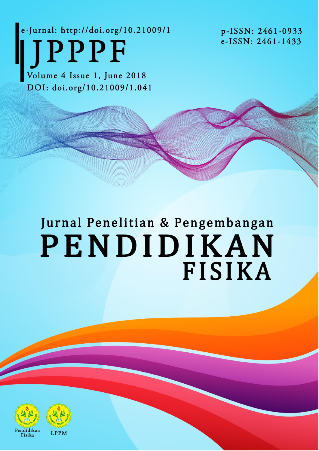e-Jurnal: http://doi.org/10.21009/1 JPPPF

p-ISSN: 2461-0933 e-ISSN: 2461-1433

Volume 4 Issue 1, June 2018 DOI: doi.org/10.21009/1.041

# Jurnal Penelitian & Pengembangan PENDIDIKAN **FISIKA**



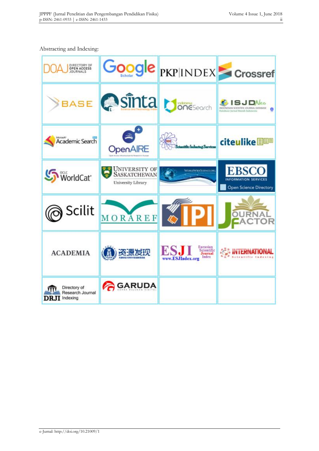#### Abstracting and Indexing:

| DIRECTORY OF<br>OPEN ACCESS<br>JOURNALS                  |                                                                   | Google PKP INDEX Crossref                                      |                                                                                                  |
|----------------------------------------------------------|-------------------------------------------------------------------|----------------------------------------------------------------|--------------------------------------------------------------------------------------------------|
| BASE                                                     | Contra boneseech                                                  |                                                                | <b>SJDNeo</b><br>INDONESIAN SCIENTIFIC JOURNAL DAIMIASE<br>曲<br>Databare Jurnal Broish Indonesia |
| Microsoft <sup>*</sup><br>Academic Search                | OpenAIRE                                                          | <b>Auntility Industrial Secretary</b>                          | citeulike                                                                                        |
| WorldCat <sup>*</sup>                                    | <b>UNIVERSITY OF</b><br><b>SASKATCHEWAN</b><br>University Library | <b>WORLDWIDESCIENCE.ORC</b>                                    | <b>EBSCO</b><br><b>INFORMATION SERVICES</b><br><b>Open Science Directory</b>                     |
| Scilit                                                   | MORAREF                                                           | 6 P                                                            |                                                                                                  |
| <b>ACADEMIA</b>                                          | 资源发现                                                              | Eurasian<br>Scientific<br>Journal<br>Index<br>www.ESJIndex.org | <b>CONTERNATIO</b><br>4 a 8 setentific Indexing                                                  |
| Directory of<br>Research Journal<br><b>DRJI</b> Indexing | <b>GARUDA</b>                                                     |                                                                |                                                                                                  |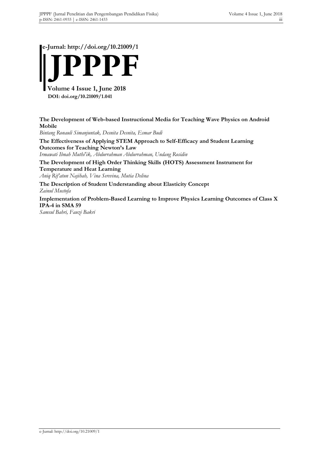**e-Jurnal: http://doi.org/10.21009/1**



**The Development of Web-based Instructional Media for Teaching Wave Physics on Android Mobile**

*Bintang Ronauli Simanjuntak, Desnita Desnita, Esmar Budi*

**The Effectiveness of Applying STEM Approach to Self-Efficacy and Student Learning Outcomes for Teaching Newton's Law** *Irmawati Ibnah Muthi'ik, Abdurrahman Abdurrahman, Undang Rosidin*

**The Development of High Order Thinking Skills (HOTS) Assessment Instrument for Temperature and Heat Learning**

*Aniq Rif'atun Najihah, Vina Serevina, Mutia Delina*

**The Description of Student Understanding about Elasticity Concept** *Zainul Mustofa*

**Implementation of Problem-Based Learning to Improve Physics Learning Outcomes of Class X IPA-4 in SMA 59**

*Samsul Bahri, Fauzi Bakri*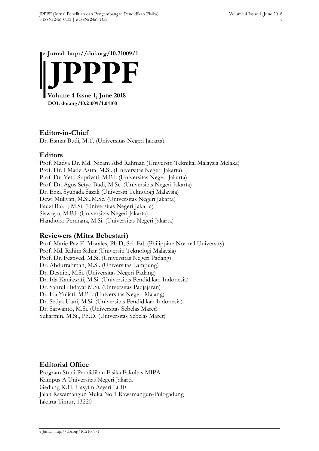**e-Jurnal: http://doi.org/10.21009/1**



#### **Editor-in-Chief**

Dr. Esmar Budi, M.T. (Universitas Negeri Jakarta)

#### **Editors**

Prof. Madya Dr. Md. Nizam Abd Rahman (Universiti Teknikal Malaysia Melaka) Prof. Dr. I Made Astra, M.Si. (Universitas Negeri Jakarta) Prof. Dr. Yetti Supriyati, M.Pd. (Universitas Negeri Jakarta) Prof. Dr. Agus Setyo Budi, M.Sc. (Universitas Negeri Jakarta) Dr. Ezza Syuhada Sazali (Universiti Teknologi Malaysia) Dewi Muliyati, M.Si.,M.Sc. (Universitas Negeri Jakarta) Fauzi Bakri, M.Si. (Universitas Negeri Jakarta) Siswoyo, M.Pd. (Universitas Negeri Jakarta) Handjoko Permana, M.Si. (Universitas Negeri Jakarta)

#### **Reviewers (Mitra Bebestari)**

Prof. Marie Paz E. Morales, Ph.D, Sci. Ed. (Philippine Normal University) Prof. Md. Rahim Sahar (Universiti Teknologi Malaysia) Prof. Dr. Festiyed, M.Si. (Universitas Negeri Padang) Dr. Abdurrahman, M.Si. (Universitas Lampung) Dr. Desnita, M.Si. (Universitas Negeri Padang) Dr. Ida Kaniawati, M.Si. (Universitas Pendidikan Indonesia) Dr. Sahrul Hidayat M.Si. (Universitas Padjajaran) Dr. Lia Yuliati, M.Pd. (Universitas Negeri Malang) Dr. Setiya Utari, M.Si. (Universitas Pendidikan Indonesia) Dr. Sarwanto, M.Si. (Universitas Sebelas Maret) Sukarmin, M.Si., Ph.D. (Universitas Sebelas Maret)

#### **Editorial Office**

Program Studi Pendidikan Fisika Fakultas MIPA Kampus A Universitas Negeri Jakarta Gedung K.H. Hasyim Asyari Lt.10 Jalan Rawamangun Muka No.1 Rawamangun-Pulogadung Jakarta Timur, 13220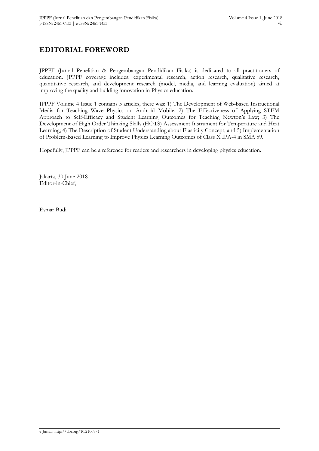### **EDITORIAL FOREWORD**

JPPPF (Jurnal Penelitian & Pengembangan Pendidikan Fisika) is dedicated to all practitioners of education. JPPPF coverage includes: experimental research, action research, qualitative research, quantitative research, and development research (model, media, and learning evaluation) aimed at improving the quality and building innovation in Physics education.

JPPPF Volume 4 Issue 1 contains 5 articles, there was: 1) The Development of Web-based Instructional Media for Teaching Wave Physics on Android Mobile; 2) The Effectiveness of Applying STEM Approach to Self-Efficacy and Student Learning Outcomes for Teaching Newton's Law; 3) The Development of High Order Thinking Skills (HOTS) Assessment Instrument for Temperature and Heat Learning; 4) The Description of Student Understanding about Elasticity Concept; and 5) Implementation of Problem-Based Learning to Improve Physics Learning Outcomes of Class X IPA-4 in SMA 59.

Hopefully, JPPPF can be a reference for readers and researchers in developing physics education.

Jakarta, 30 June 2018 Editor-in-Chief,

Esmar Budi